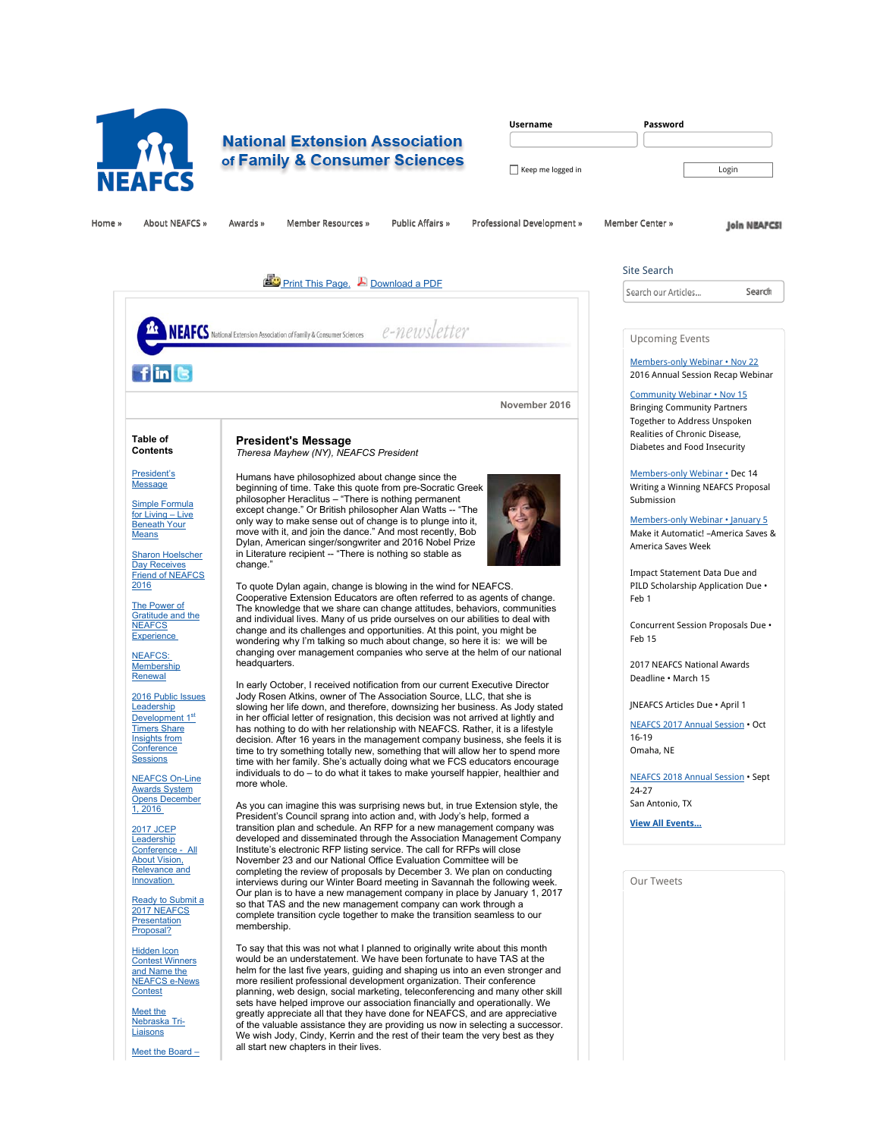

# **National Extension Association** of Family & Consumer Sciences

| <b>Username</b>   | Password |
|-------------------|----------|
|                   |          |
| Keep me logged in | Login    |

Home »» About NEAFCS »» Awards »» Member Resources »» Public Affairs »» Professional Development »» Member Center »»

**Join NEAFCSI** 

**Search** 

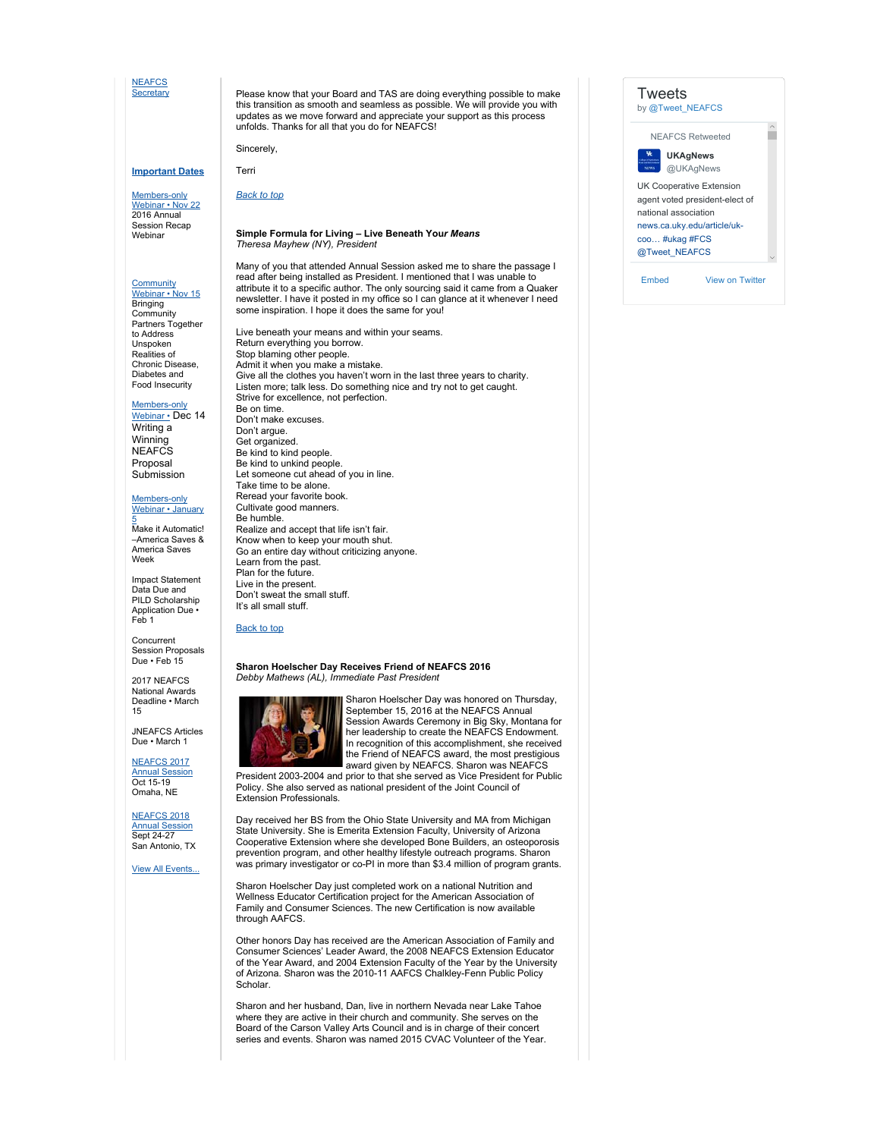#### **NEAFCS Secretary**

# unfolds. Thanks for all that you do for NEAFCS!

Terri

#### **Important Dates**

Members-only<br>Webinar • Nov 22<br>2016 Annual Session Recap Webinar

## Community Webinar • Nov 15

**Bringing Community** Partners Together to Address Unspoken Realities of Chronic Disease, Diabetes and Food Insecurity

#### Members-only

Webinar • Dec 14 Writing a Winning **NEAFCS** Proposal Submission

Members-only<br>Webinar • January

<mark>5</mark><br>Make it Automatic! –America Saves & America Saves Week

Impact Statement Data Due and PILD Scholarship Application Due • Feb 1

Concurrent Session Proposals Due • Feb 15

2017 NEAFCS National Awards Deadline • March 15

JNEAFCS Articles Due • March 1

## NEAFCS 2017 Annual Session Oct 15-19

Omaha, NE

NEAFCS 2018 Annual Session Sept 24-27 San Antonio, TX

View All Events...

Please know that your Board and TAS are doing everything possible to make this transition as smooth and seamless as possible. We will provide you with updates as we move forward and appreciate your support as this process

Sincerely,

#### *Back to top*

#### **Simple Formula for Living – Live Beneath You***r Means Theresa Mayhew (NY), President*

Many of you that attended Annual Session asked me to share the passage I read after being installed as President. I mentioned that I was unable to attribute it to a specific author. The only sourcing said it came from a Quaker newsletter. I have it posted in my office so I can glance at it whenever I need some inspiration. I hope it does the same for you!

Live beneath your means and within your seams. Return everything you borrow. Stop blaming other people. Admit it when you make a mistake. Give all the clothes you haven't worn in the last three years to charity. Listen more; talk less. Do something nice and try not to get caught. Strive for excellence, not perfection. Be on time. Don't make excuses. Don't argue. Get organized. Be kind to kind people. Be kind to unkind people. Let someone cut ahead of you in line. Take time to be alone. Reread your favorite book. Cultivate good manners. Be humble. Realize and accept that life isn't fair. Know when to keep your mouth shut. Go an entire day without criticizing anyone. Learn from the past. Plan for the future. Live in the present. Don't sweat the small stuff. It's all small stuff.

#### Back to top

#### **Sharon Hoelscher Day Receives Friend of NEAFCS 2016** *Debby Mathews (AL), Immediate Past President*



Sharon Hoelscher Day was honored on Thursday, September 15, 2016 at the NEAFCS Annual Session Awards Ceremony in Big Sky, Montana for her leadership to create the NEAFCS Endowment. In recognition of this accomplishment, she received the Friend of NEAFCS award, the most prestigious award given by NEAFCS. Sharon was NEAFCS

President 2003-2004 and prior to that she served as Vice President for Public Policy. She also served as national president of the Joint Council of Extension Professionals.

Day received her BS from the Ohio State University and MA from Michigan State University. She is Emerita Extension Faculty, University of Arizona Cooperative Extension where she developed Bone Builders, an osteoporosis prevention program, and other healthy lifestyle outreach programs. Sharon was primary investigator or co-PI in more than \$3.4 million of program grants.

Sharon Hoelscher Day just completed work on a national Nutrition and Wellness Educator Certification project for the American Association of Family and Consumer Sciences. The new Certification is now available through AAFCS.

Other honors Day has received are the American Association of Family and Consumer Sciences' Leader Award, the 2008 NEAFCS Extension Educator of the Year Award, and 2004 Extension Faculty of the Year by the University of Arizona. Sharon was the 2010-11 AAFCS Chalkley-Fenn Public Policy Scholar.

Sharon and her husband, Dan, live in northern Nevada near Lake Tahoe where they are active in their church and community. She serves on the Board of the Carson Valley Arts Council and is in charge of their concert series and events. Sharon was named 2015 CVAC Volunteer of the Year.

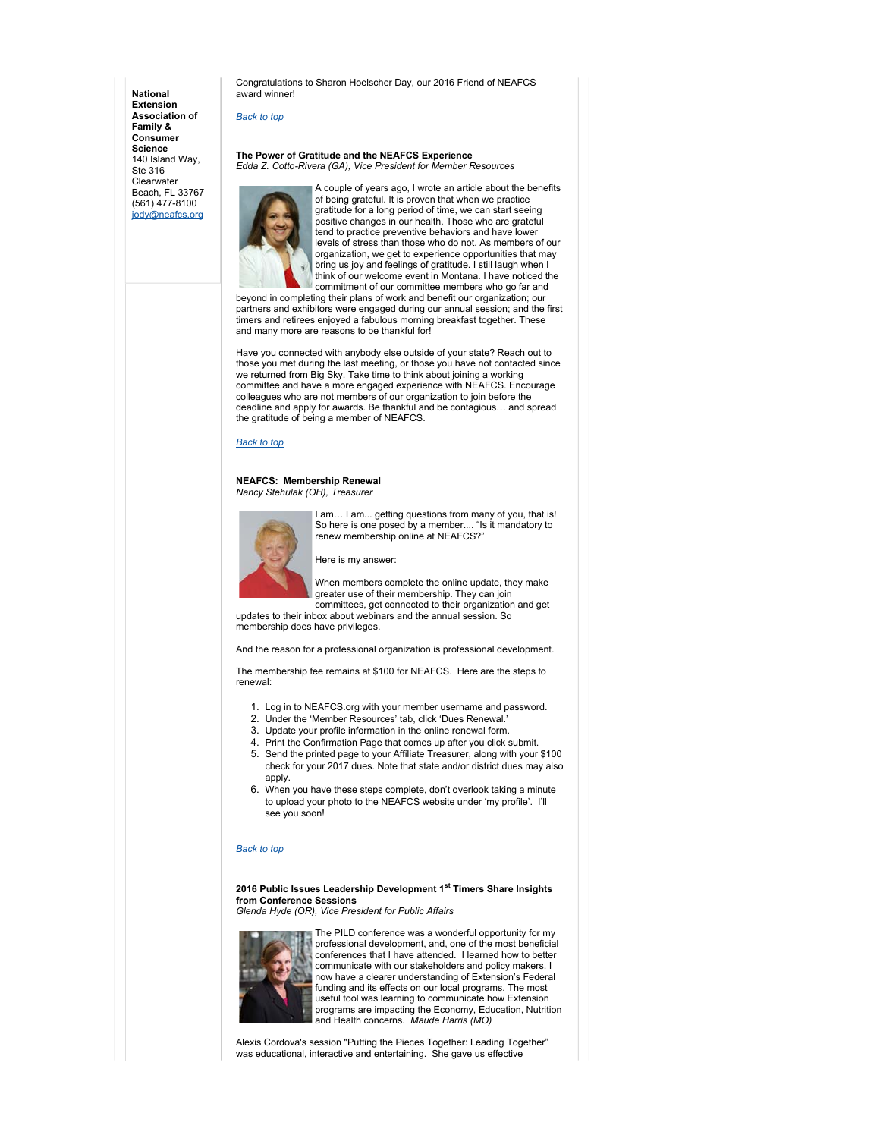**National Extension Association of Family & Consumer Science** 140 Island Way, Ste 316 **Clearwater** Beach, FL 33767 (561) 477-8100 jody@neafcs.org

Congratulations to Sharon Hoelscher Day, our 2016 Friend of NEAFCS award winner!

### *Back to top*

#### **The Power of Gratitude and the NEAFCS Experience** *Edda Z. Cotto-Rivera (GA), Vice President for Member Resources*



A couple of years ago, I wrote an article about the benefits of being grateful. It is proven that when we practice gratitude for a long period of time, we can start seeing positive changes in our health. Those who are grateful tend to practice preventive behaviors and have lower levels of stress than those who do not. As members of our organization, we get to experience opportunities that may bring us joy and feelings of gratitude. I still laugh when I think of our welcome event in Montana. I have noticed the commitment of our committee members who go far and

beyond in completing their plans of work and benefit our organization; our partners and exhibitors were engaged during our annual session; and the first timers and retirees enjoyed a fabulous morning breakfast together. These and many more are reasons to be thankful for!

Have you connected with anybody else outside of your state? Reach out to those you met during the last meeting, or those you have not contacted since we returned from Big Sky. Take time to think about joining a working committee and have a more engaged experience with NEAFCS. Encourage colleagues who are not members of our organization to join before the deadline and apply for awards. Be thankful and be contagious… and spread the gratitude of being a member of NEAFCS.

#### *Back to top*

#### **NEAFCS: Membership Renewal** *Nancy Stehulak (OH), Treasurer*



I am... I am... getting questions from many of you, that is! So here is one posed by a member.... "Is it mandatory to renew membership online at NEAFCS?"

Here is my answer:

When members complete the online update, they make greater use of their membership. They can join committees, get connected to their organization and get

updates to their inbox about webinars and the annual session. So membership does have privileges.

And the reason for a professional organization is professional development.

The membership fee remains at \$100 for NEAFCS. Here are the steps to renewal:

- 1. Log in to NEAFCS.org with your member username and password.
- 2. Under the 'Member Resources' tab, click 'Dues Renewal.'
- 3. Update your profile information in the online renewal form.
- 4. Print the Confirmation Page that comes up after you click submit.
- 5. Send the printed page to your Affiliate Treasurer, along with your \$100 check for your 2017 dues. Note that state and/or district dues may also apply.
- 6. When you have these steps complete, don't overlook taking a minute to upload your photo to the NEAFCS website under 'my profile'. I'll see you soon!

#### *Back to top*

**2016 Public Issues Leadership Development 1st Timers Share Insights from Conference Sessions**

*Glenda Hyde (OR), Vice President for Public Affairs*



The PILD conference was a wonderful opportunity for my professional development, and, one of the most beneficial conferences that I have attended. I learned how to better communicate with our stakeholders and policy makers. I now have a clearer understanding of Extension's Federal funding and its effects on our local programs. The most useful tool was learning to communicate how Extension programs are impacting the Economy, Education, Nutrition and Health concerns. *Maude Harris (MO)*

Alexis Cordova's session "Putting the Pieces Together: Leading Together" was educational, interactive and entertaining. She gave us effective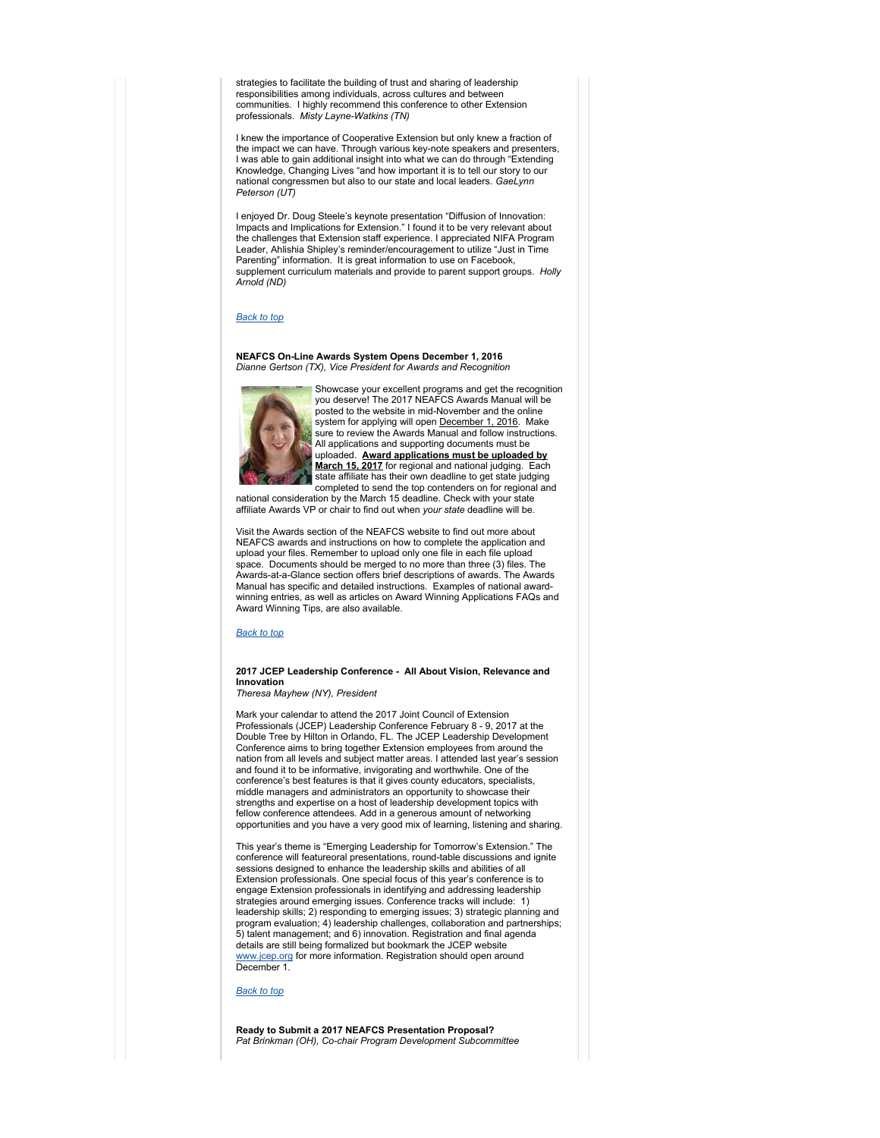strategies to facilitate the building of trust and sharing of leadership responsibilities among individuals, across cultures and between communities. I highly recommend this conference to other Extension professionals. *Misty Layne-Watkins (TN)*

I knew the importance of Cooperative Extension but only knew a fraction of the impact we can have. Through various key-note speakers and presenters, I was able to gain additional insight into what we can do through "Extending Knowledge, Changing Lives "and how important it is to tell our story to our national congressmen but also to our state and local leaders. *GaeLynn Peterson (UT)*

I enjoyed Dr. Doug Steele's keynote presentation "Diffusion of Innovation: Impacts and Implications for Extension." I found it to be very relevant about the challenges that Extension staff experience. I appreciated NIFA Program Leader, Ahlishia Shipley's reminder/encouragement to utilize "Just in Time Parenting" information. It is great information to use on Facebook, supplement curriculum materials and provide to parent support groups. *Holly Arnold (ND)*

#### *Back to top*

**NEAFCS On-Line Awards System Opens December 1, 2016** *Dianne Gertson (TX), Vice President for Awards and Recognition*



Showcase your excellent programs and get the recognition you deserve! The 2017 NEAFCS Awards Manual will be posted to the website in mid-November and the online system for applying will open December 1, 2016. Make sure to review the Awards Manual and follow instructions. All applications and supporting documents must be uploaded. **Award applications must be uploaded by March 15, 2017** for regional and national judging. Each state affiliate has their own deadline to get state judging

completed to send the top contenders on for regional and national consideration by the March 15 deadline. Check with your state affiliate Awards VP or chair to find out when *your state* deadline will be.

Visit the Awards section of the NEAFCS website to find out more about NEAFCS awards and instructions on how to complete the application and upload your files. Remember to upload only one file in each file upload space. Documents should be merged to no more than three (3) files. The Awards-at-a-Glance section offers brief descriptions of awards. The Awards Manual has specific and detailed instructions. Examples of national awardwinning entries, as well as articles on Award Winning Applications FAQs and Award Winning Tips, are also available.

#### *Back to top*

#### **2017 JCEP Leadership Conference - All About Vision, Relevance and Innovation**

*Theresa Mayhew (NY), President*

Mark your calendar to attend the 2017 Joint Council of Extension Professionals (JCEP) Leadership Conference February 8 - 9, 2017 at the Double Tree by Hilton in Orlando, FL. The JCEP Leadership Development Conference aims to bring together Extension employees from around the nation from all levels and subject matter areas. I attended last year's session and found it to be informative, invigorating and worthwhile. One of the conference's best features is that it gives county educators, specialists, middle managers and administrators an opportunity to showcase their strengths and expertise on a host of leadership development topics with fellow conference attendees. Add in a generous amount of networking opportunities and you have a very good mix of learning, listening and sharing.

This year's theme is "Emerging Leadership for Tomorrow's Extension." The conference will featureoral presentations, round-table discussions and ignite sessions designed to enhance the leadership skills and abilities of all Extension professionals. One special focus of this year's conference is to engage Extension professionals in identifying and addressing leadership strategies around emerging issues. Conference tracks will include: 1) leadership skills; 2) responding to emerging issues; 3) strategic planning and program evaluation; 4) leadership challenges, collaboration and partnerships; 5) talent management; and 6) innovation. Registration and final agenda details are still being formalized but bookmark the JCEP website www.jcep.org for more information. Registration should open around December 1.

#### *Back to top*

**Ready to Submit a 2017 NEAFCS Presentation Proposal?** *Pat Brinkman (OH), Co-chair Program Development Subcommittee*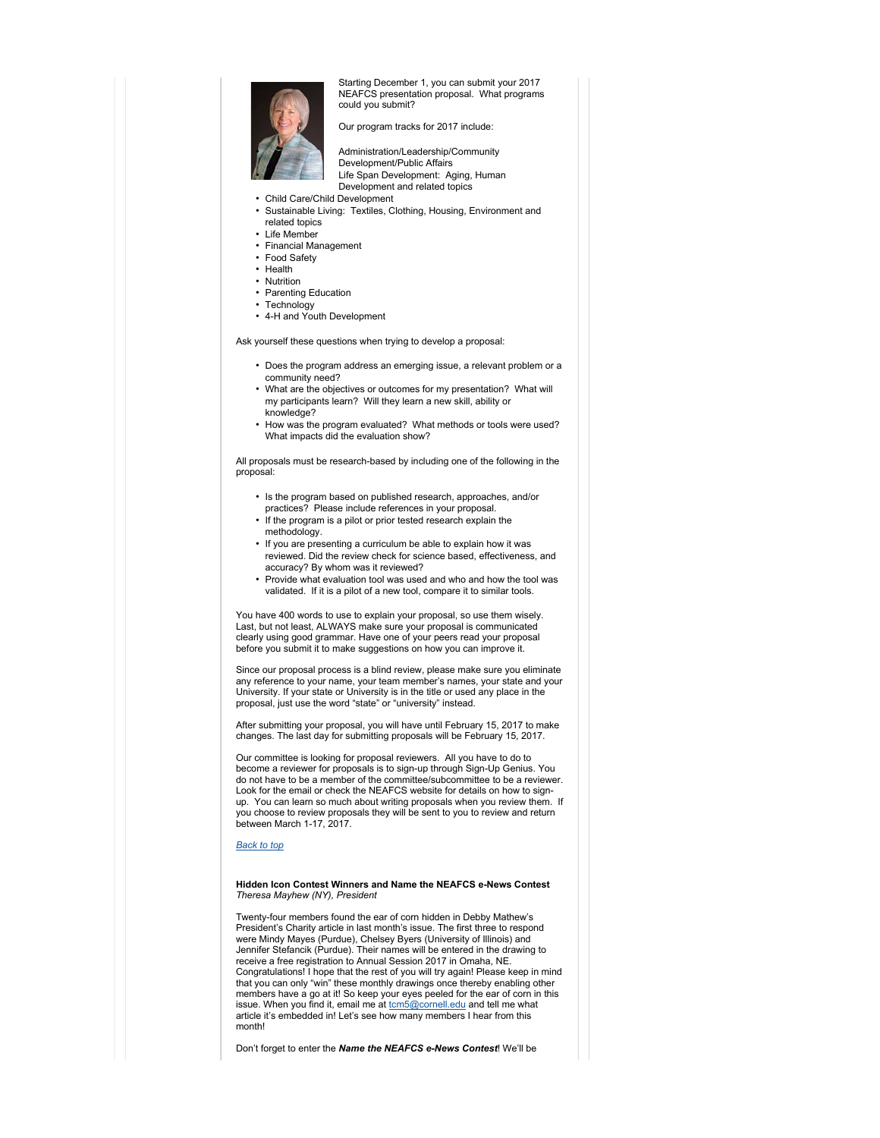

Starting December 1, you can submit your 2017 NEAFCS presentation proposal. What programs could you submit?

Our program tracks for 2017 include:

• Administration/Leadership/Community Development/Public Affairs Life Span Development: Aging, Human Development and related topics

- Child Care/Child Development
- Sustainable Living: Textiles, Clothing, Housing, Environment and related topics
- Life Member
- Financial Management
- Food Safety
- Health
- Nutrition
- Parenting Education • Technology
- 4-H and Youth Development

Ask yourself these questions when trying to develop a proposal:

- Does the program address an emerging issue, a relevant problem or a community need?
- What are the objectives or outcomes for my presentation? What will my participants learn? Will they learn a new skill, ability or knowledge?
- How was the program evaluated? What methods or tools were used? What impacts did the evaluation show?

All proposals must be research-based by including one of the following in the proposal:

- Is the program based on published research, approaches, and/or practices? Please include references in your proposal.
- If the program is a pilot or prior tested research explain the methodology.
- If you are presenting a curriculum be able to explain how it was reviewed. Did the review check for science based, effectiveness, and accuracy? By whom was it reviewed?
- Provide what evaluation tool was used and who and how the tool was validated. If it is a pilot of a new tool, compare it to similar tools.

You have 400 words to use to explain your proposal, so use them wisely. Last, but not least, ALWAYS make sure your proposal is communicated clearly using good grammar. Have one of your peers read your proposal before you submit it to make suggestions on how you can improve it.

Since our proposal process is a blind review, please make sure you eliminate any reference to your name, your team member's names, your state and your University. If your state or University is in the title or used any place in the proposal, just use the word "state" or "university" instead.

After submitting your proposal, you will have until February 15, 2017 to make changes. The last day for submitting proposals will be February 15, 2017.

Our committee is looking for proposal reviewers. All you have to do to become a reviewer for proposals is to sign-up through Sign-Up Genius. You do not have to be a member of the committee/subcommittee to be a reviewer. Look for the email or check the NEAFCS website for details on how to signup. You can learn so much about writing proposals when you review them. If you choose to review proposals they will be sent to you to review and return between March 1-17, 2017.

#### *Back to top*

#### **Hidden Icon Contest Winners and Name the NEAFCS e-News Contest**  *Theresa Mayhew (NY), President*

Twenty-four members found the ear of corn hidden in Debby Mathew's President's Charity article in last month's issue. The first three to respond were Mindy Mayes (Purdue), Chelsey Byers (University of Illinois) and Jennifer Stefancik (Purdue). Their names will be entered in the drawing to receive a free registration to Annual Session 2017 in Omaha, NE. Congratulations! I hope that the rest of you will try again! Please keep in mind that you can only "win" these monthly drawings once thereby enabling other members have a go at it! So keep your eyes peeled for the ear of corn in this issue. When you find it, email me at tom5@cornell.edu and tell me what article it's embedded in! Let's see how many members I hear from this month!

Don't forget to enter the *Name the NEAFCS e-News Contest*! We'll be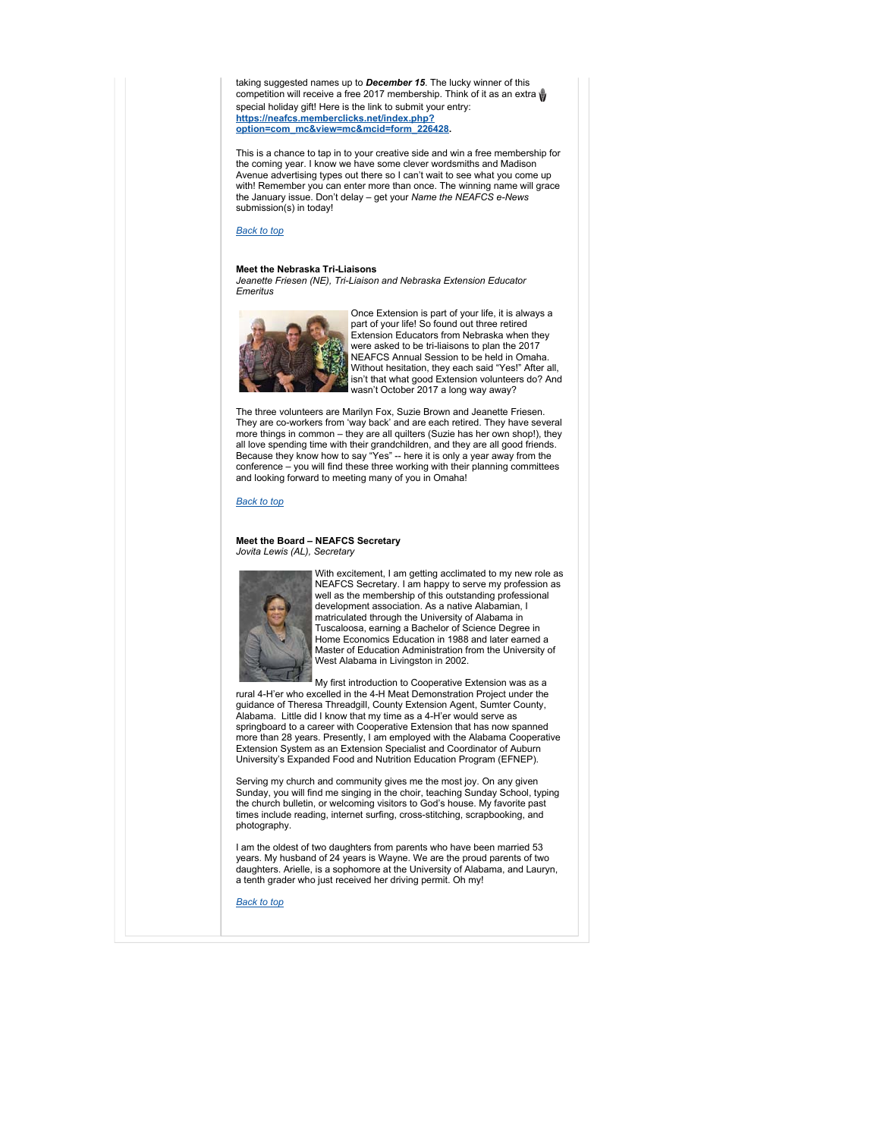taking suggested names up to *December 15*. The lucky winner of this competition will receive a free 2017 membership. Think of it as an extra w special holiday gift! Here is the link to submit your entry: **https://neafcs.memberclicks.net/index.php? option=com\_mc&view=mc&mcid=form\_226428.** 

This is a chance to tap in to your creative side and win a free membership for the coming year. I know we have some clever wordsmiths and Madison Avenue advertising types out there so I can't wait to see what you come up with! Remember you can enter more than once. The winning name will grace the January issue. Don't delay – get your *Name the NEAFCS e-News*  submission(s) in today!

#### *Back to top*

#### **Meet the Nebraska Tri-Liaisons**

*Jeanette Friesen (NE), Tri-Liaison and Nebraska Extension Educator Emeritus* 



Once Extension is part of your life, it is always a part of your life! So found out three retired Extension Educators from Nebraska when they were asked to be tri-liaisons to plan the 2017 NEAFCS Annual Session to be held in Omaha. Without hesitation, they each said "Yes!" After all, isn't that what good Extension volunteers do? And wasn't October 2017 a long way away?

The three volunteers are Marilyn Fox, Suzie Brown and Jeanette Friesen. They are co-workers from 'way back' and are each retired. They have several more things in common – they are all quilters (Suzie has her own shop!), they all love spending time with their grandchildren, and they are all good friends.<br>Because they know how to say "Yes" -- here it is only a year away from the<br>conference – you will find these three working with their planning and looking forward to meeting many of you in Omaha!

#### *Back to top*

#### **Meet the Board – NEAFCS Secretary** *Jovita Lewis (AL), Secretary*



With excitement, I am getting acclimated to my new role as NEAFCS Secretary. I am happy to serve my profession as well as the membership of this outstanding professional development association. As a native Alabamian, I matriculated through the University of Alabama in Tuscaloosa, earning a Bachelor of Science Degree in Home Economics Education in 1988 and later earned a Master of Education Administration from the University of West Alabama in Livingston in 2002.

My first introduction to Cooperative Extension was as a rural 4-H'er who excelled in the 4-H Meat Demonstration Project under the guidance of Theresa Threadgill, County Extension Agent, Sumter County, Alabama. Little did I know that my time as a 4-H'er would serve as springboard to a career with Cooperative Extension that has now spanned more than 28 years. Presently, I am employed with the Alabama Cooperative Extension System as an Extension Specialist and Coordinator of Auburn University's Expanded Food and Nutrition Education Program (EFNEP).

Serving my church and community gives me the most joy. On any given Sunday, you will find me singing in the choir, teaching Sunday School, typing the church bulletin, or welcoming visitors to God's house. My favorite past times include reading, internet surfing, cross-stitching, scrapbooking, and photography.

I am the oldest of two daughters from parents who have been married 53 years. My husband of 24 years is Wayne. We are the proud parents of two daughters. Arielle, is a sophomore at the University of Alabama, and Lauryn, a tenth grader who just received her driving permit. Oh my!

*Back to top*